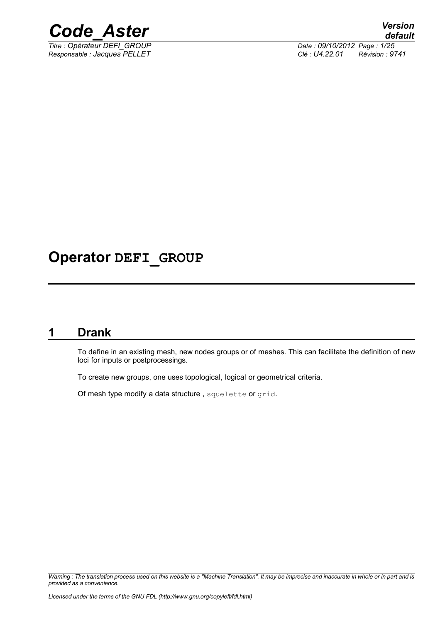

*Titre : Opérateur DEFI\_GROUP Date : 09/10/2012 Page : 1/25*

*Responsable : Jacques PELLET Clé : U4.22.01 Révision : 9741*

### **Operator DEFI\_GROUP**

### **1 Drank**

To define in an existing mesh, new nodes groups or of meshes. This can facilitate the definition of new loci for inputs or postprocessings.

To create new groups, one uses topological, logical or geometrical criteria.

Of mesh type modify a data structure, squelette or grid.

*Warning : The translation process used on this website is a "Machine Translation". It may be imprecise and inaccurate in whole or in part and is provided as a convenience.*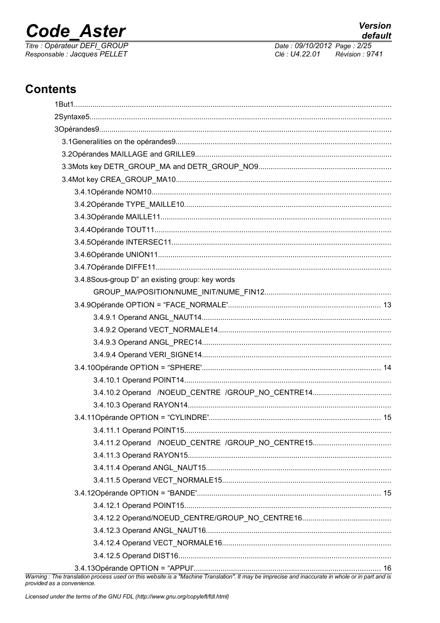## **Code Aster**

Titre : Opérateur DEFI\_GROUP Responsable : Jacques PELLET

default Date: 09/10/2012 Page: 2/25 Clé : U4.22.01 Révision : 9741

**Version** 

### **Contents**

| 3.4.8Sous-group D" an existing group: key words   |  |
|---------------------------------------------------|--|
|                                                   |  |
|                                                   |  |
|                                                   |  |
|                                                   |  |
|                                                   |  |
|                                                   |  |
|                                                   |  |
|                                                   |  |
|                                                   |  |
|                                                   |  |
|                                                   |  |
|                                                   |  |
| 3.4.11.2 Operand /NOEUD_CENTRE /GROUP_NO_CENTRE15 |  |
|                                                   |  |
|                                                   |  |
|                                                   |  |
|                                                   |  |
|                                                   |  |
|                                                   |  |
|                                                   |  |
|                                                   |  |
|                                                   |  |
|                                                   |  |

provided as a convenience.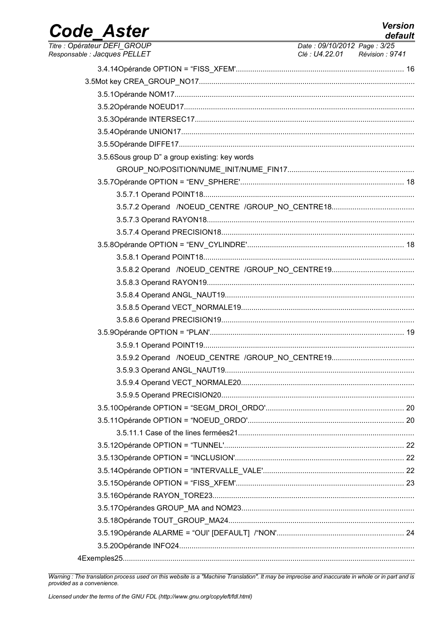### **Code Aster** Titre : Opérateur DEFI GROUP

Responsable

| erateur DEFI GROUP<br>able : Jacques PELLET    | Date: 09/10/2012 Page: 3/25<br>Clé : U4.22.01 Révision : 9741 |  |
|------------------------------------------------|---------------------------------------------------------------|--|
|                                                |                                                               |  |
|                                                |                                                               |  |
|                                                |                                                               |  |
|                                                |                                                               |  |
|                                                |                                                               |  |
|                                                |                                                               |  |
|                                                |                                                               |  |
| 3.5.6Sous group D" a group existing: key words |                                                               |  |
|                                                |                                                               |  |
|                                                |                                                               |  |
|                                                |                                                               |  |
|                                                |                                                               |  |
|                                                |                                                               |  |
|                                                |                                                               |  |
|                                                |                                                               |  |
|                                                |                                                               |  |
|                                                |                                                               |  |
|                                                |                                                               |  |
|                                                |                                                               |  |
|                                                |                                                               |  |
|                                                |                                                               |  |
|                                                |                                                               |  |
|                                                |                                                               |  |
|                                                |                                                               |  |
|                                                |                                                               |  |
|                                                |                                                               |  |
|                                                |                                                               |  |
|                                                |                                                               |  |
|                                                |                                                               |  |
|                                                |                                                               |  |
|                                                |                                                               |  |
|                                                |                                                               |  |
|                                                |                                                               |  |
|                                                |                                                               |  |
|                                                |                                                               |  |
|                                                |                                                               |  |
|                                                |                                                               |  |
|                                                |                                                               |  |
|                                                |                                                               |  |
|                                                |                                                               |  |

Warning: The translation process used on this website is a "Machine Translation". It may be imprecise and inaccurate in whole or in part and is provided as a convenience.

#### **Version** default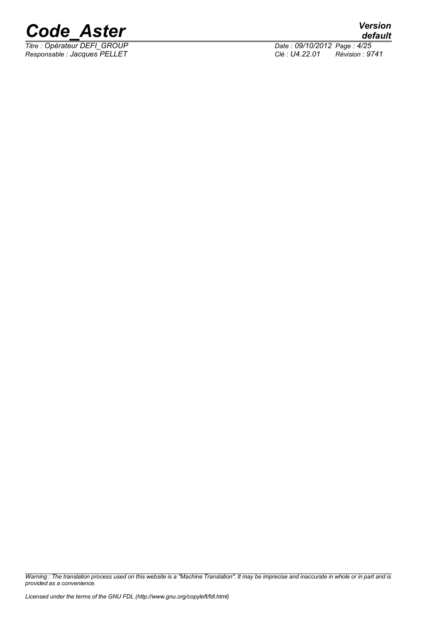

*Responsable : Jacques PELLET Clé : U4.22.01 Révision : 9741*

*Titre : Opérateur DEFI\_GROUP Date : 09/10/2012 Page : 4/25*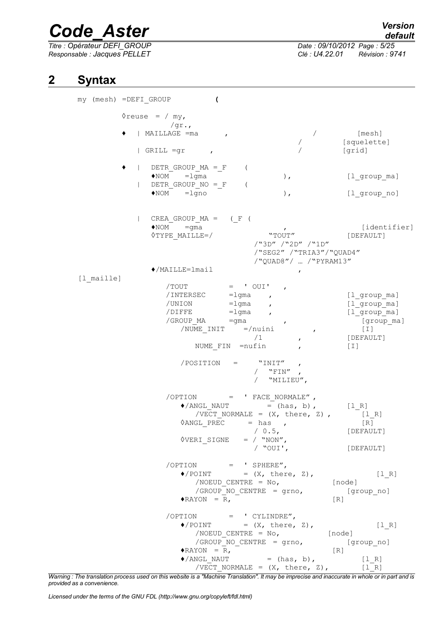*Responsable : Jacques PELLET Clé : U4.22.01 Révision : 9741*

*Titre : Opérateur DEFI\_GROUP Date : 09/10/2012 Page : 5/25*

### **2 Syntax**

|            | my (mesh) =DEFI GROUP                                                                                                                                                           |                                                |
|------------|---------------------------------------------------------------------------------------------------------------------------------------------------------------------------------|------------------------------------------------|
|            | $\Diamond$ reuse = / my,                                                                                                                                                        |                                                |
|            | /gr.,<br>MAILLAGE =ma                                                                                                                                                           | [mesh]                                         |
|            |                                                                                                                                                                                 | [squelette]                                    |
|            | $ $ GRILL =gr ,                                                                                                                                                                 | [grid]                                         |
|            | $ $ DETR GROUP MA = F<br>٠                                                                                                                                                      |                                                |
|            | $\diamond$ NOM $=$ lgma<br>$)$ ,<br>DETR_GROUP_NO =_F                                                                                                                           | [l group ma]                                   |
|            | $=$ lgno<br>$\blacklozenge$ NOM<br>$\,$ ,                                                                                                                                       | [l group no]                                   |
|            | CREA GROUP $MA = (F ($                                                                                                                                                          |                                                |
|            | $\diamond$ NOM = gma<br>$\mathcal{L}$<br>"TOUT"<br>$\Diamond$ TYPE MAILLE=/                                                                                                     | [identifier]<br>[DEFAULT]                      |
|            | /"3D" /"2D" /"1D"                                                                                                                                                               |                                                |
|            | /"SEG2" /"TRIA3"/"QUAD4"<br>/"QUAD8"/  /"PYRAM13"                                                                                                                               |                                                |
|            | $\blacklozenge$ /MAILLE=lmail<br>$\mathbf{r}$                                                                                                                                   |                                                |
| [1 maille] | /TOUT<br>$=$ ' OUI'                                                                                                                                                             |                                                |
|            | $/INTERSEC$ = $1$ gma ,                                                                                                                                                         | $[1$ <sup>oroup<math>m</math>a]</sup>          |
|            | /UNION<br>$=$ lgma $,$                                                                                                                                                          | [1 group ma]                                   |
|            | /DIFFE = 1gma ,                                                                                                                                                                 | $[1$ <sup>oroup<math>m</math>a]</sup>          |
|            | /GROUP MA = = gma<br>$\pmb{r}$                                                                                                                                                  | [group_ma]                                     |
|            | $/$ NUME INIT = $/$ nuini<br>$\mathbf{r}$<br>/1                                                                                                                                 | $\begin{bmatrix} 1 \end{bmatrix}$<br>[DEFAULT] |
|            | NUME FIN =nufin                                                                                                                                                                 | $[1]$                                          |
|            | /POSITION<br>"INIT"<br>$=$<br>$\mathbf{r}$<br>"FIN"<br>"MILIEU",                                                                                                                |                                                |
|            |                                                                                                                                                                                 |                                                |
|            | $\begin{array}{rcl} \text{/OPTION} & = & \text{I FACE\_NORMALE} \text{''} \,, \\ \bigstar / \text{ANGL\_NAUT} & = & \text{(has, b)} \,, \hspace{1cm} [\text{1\_R}] \end{array}$ |                                                |
|            | /VECT NORMALE = $(X, there, Z)$ ,<br>$=$ has ,                                                                                                                                  | [1 R]<br>[R]                                   |
|            | $\Diamond$ ANGL_PREC<br>/ 0.5,                                                                                                                                                  | [DEFAULT]                                      |
|            | $\Diamond \texttt{VERI SIGNE} = / \texttt{"NON",}$                                                                                                                              |                                                |
|            | / $"OUT',$                                                                                                                                                                      | [DEFAULT]                                      |
|            | $\sqrt{\text{OPTION}}$ = ' SPHERE",                                                                                                                                             |                                                |
|            | $\bullet$ /POINT = (X, there, Z),<br>/NOEUD CENTRE = $No$ ,                                                                                                                     | [1 R]<br>[node]                                |
|            | /GROUP NO CENTRE = $qrno$ ,                                                                                                                                                     | [group no]                                     |
|            | $\triangle$ RAYON = R,                                                                                                                                                          | $\lceil R \rceil$                              |
|            | /OPTION = 'CYLINDRE",                                                                                                                                                           |                                                |
|            | $\bullet$ /POINT = $(X, \text{ there}, Z)$ ,                                                                                                                                    | [1 R]                                          |
|            | /NOEUD CENTRE = $No$ ,<br>/GROUP NO CENTRE = grno,                                                                                                                              | [node]<br>[group no]                           |
|            | $\triangle$ RAYON = R,                                                                                                                                                          | $\lceil R \rceil$                              |
|            | $\bullet$ /ANGL NAUT = (has, b),                                                                                                                                                | $[1 \ R]$                                      |
|            | /VECT NORMALE = $(X, there, Z),$ [1 R]                                                                                                                                          |                                                |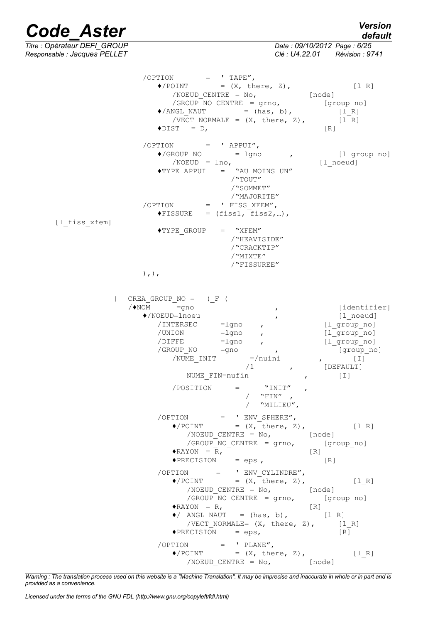*default*

# *Code\_Aster Version*

*Titre : Opérateur DEFI\_GROUP Date : 09/10/2012 Page : 6/25 Responsable : Jacques PELLET Clé : U4.22.01 Révision : 9741*

 $\sqrt{\text{OPTION}}$  = 'TAPE",  $\blacklozenge$ /POINT = (X, there, Z), [l\_R] /NOEUD CENTRE = No, [node] /GROUP\_NO\_CENTRE = grno, [group\_no]<br>
NGL\_NAUT = (has, b), [1\_R]<br>
/VECT\_NORMALE = (X, there, Z), [1\_R]  $\bigcirc$ /ANGL\_NAUT = (has, b), /VECT NORMALE =  $(X, \text{ there}, Z)$ ,  $\triangle$ DIST = D, [R] /OPTION = ' APPUI",  $\bullet$ /GROUP NO = lgno , [l\_group\_no] /NOEUD = lno, [l\_noeud] ♦TYPE\_APPUI = "AU\_MOINS\_UN"  $/$ " $TO\overline{U}T''$ /"SOMMET" /"MAJORITE" /OPTION = ' FISS\_XFEM",  $\blacklozenge$ FISSURE = (fiss1, fiss2,...), [l\_fiss\_xfem]  $\triangle$ TYPE GROUP = "XFEM" /"HEAVISIDE" /"CRACKTIP" /"MIXTE" /"FISSUREE"  $)$ ,  $)$ ,  $|$  CREA GROUP\_NO =  $($  $_F$  ( /♦NOM =gno , [identifier] ♦/NOEUD=lnoeu , [l\_noeud] /INTERSEC =lgno , [l\_group\_no] /UNION =lgno , [l\_group\_no] /DIFFE =lgno , [l\_group\_no] /GROUP NO =gno ,  $\frac{1}{\sqrt{2}}$  [group no] /NUME INIT  $=$ /nuini , [I] /1 , [DEFAULT] NUME FIN=nufin , [I] /POSITION = "INIT" ,  $/$  "FIN", / "MILIEU", /OPTION = ' ENV\_SPHERE",  $\blacklozenge$ /POINT =  $(X, \text{ there}, Z),$  [1 R] /NOEUD CENTRE =  $No$ , [node]  $/$ GROUP\_NO\_CENTRE = grno, [group\_no]  $\begin{array}{rcl} \bullet \text{RAYON} & = \overline{\text{R}}, \\ \bullet \text{PRECISION} & = \text{eps}, \\ \end{array}$  [R]  $\triangle$ PRECISION = eps , [R] /OPTION = ' ENV\_CYLINDRE",  $\blacklozenge$ /POINT =  $(X, \text{ there}, Z),$  [1 R] /NOEUD\_CENTRE = No, [node] /GROUP\_NO\_CENTRE = grno, [group\_no]  $\triangle$ RAYON = R, [R]  $\blacklozenge$  ANGL\_NAUT = (has, b),  $[1_R]$  $\frac{1}{\sqrt{2}}$  /VECT\_NORMALE=  $(X, \text{ there}, Z),$  [l\_R]  $\triangle$ PRECISION = eps,  $[R]$  $\sqrt{\text{OPTION}}$  = ' PLANE",  $\blacklozenge$ /POINT =  $(X, \text{ there}, Z),$  [1 R] /NOEUD CENTRE = No, [node]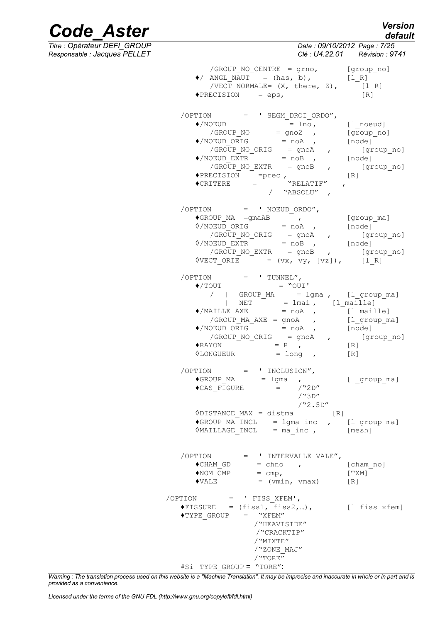*default*

*Code\_Aster Version*  $\overline{T}$ itre : Opérateur DEFI\_GROUP *Responsable : Jacques PELLET Clé : U4.22.01 Révision : 9741*

|                                                                                                                                                                                                                                                                                                                                                                                                                                                                                                                                                                                                                                                                                                                                                                                                                                  |                        | Clé : U4.22.01 Révision : 9/41 |
|----------------------------------------------------------------------------------------------------------------------------------------------------------------------------------------------------------------------------------------------------------------------------------------------------------------------------------------------------------------------------------------------------------------------------------------------------------------------------------------------------------------------------------------------------------------------------------------------------------------------------------------------------------------------------------------------------------------------------------------------------------------------------------------------------------------------------------|------------------------|--------------------------------|
| /GROUP NO CENTRE = grno, [group no]<br>$\bullet$ / ANGL_NAUT = (has, b), [1_R]<br>/VECT_NORMALE= (X, there, Z), [1_R]<br>$\triangle$ PRECISION = eps,                                                                                                                                                                                                                                                                                                                                                                                                                                                                                                                                                                                                                                                                            |                        | [R]                            |
| /OPTION = ' SEGM_DROI_ORDO",<br>$\big\{\text{NOEUD}\begin{matrix} & & & & & \text{if } \\ \text{NOEUD} & & & & & \text{if } \\ \text{GROUP NO} & & & & \text{if } \\ \text{NIGROUP NO} & & & & \text{if } \\ \text{NIGROUP NO} & & & & \text{if } \\ \text{NIGROUP NO} & & & & \text{if } \\ \end{matrix}\big\}$<br>$\begin{array}{lllllll}\n\text{\bf{*}}/\text{NOEUD\_ORG} & = \text{noA} & \text{[node]} \\ \hline\n\text{GROUP_NO\_ORIG} & = \text{gnoA} & \text{[node]} \\ \text{GROUP_NO\_ERTR} & = \text{noB} & \text{[group\_no]} \\ \text{GROUP_NO\_EXTR} & = \text{gnoB} & \text{[group\_no]} \\ \text{GROUP_NO\_EXTR} & = \text{gnoB} & \text{[group\_no]} \\ \text{GROUP_NO\_EXTR} & = \text{gnoB} & \text{[group\_no]} \\ \text{GROUP_NO\_EXTR} & = \text{gnoB} &$<br>$\bullet$ CRITERE = "RELATIF",<br>/ "ABSOLU", |                        |                                |
| /OPTION = 'NOEUD_ORDO",<br>•GROUP_MA =gmaAB<br>◆GROUP_MA =gmaAB<br>◆/NOEUD_ORIG = noA , [group_no]<br>/GROUP_NO_ORIG = gnoA , [group_no]<br>◆/NOEUD_EXTR = noB , [node]<br>/GROUP_NO_EXTR = gnoB , [group_no]<br>◆VECT_ORIE = (vx, vy, [vz]), [1_R]                                                                                                                                                                                                                                                                                                                                                                                                                                                                                                                                                                              |                        |                                |
| $\begin{array}{lllll} \sqrt{\text{OPTION}} & = & \text{I' UNNEL}^{\prime\prime}, \\ \bullet\text{/TOUT} & = & \text{"OUT'} \end{array}$<br>/   GROUP_MA = lgma, [l_group_ma]<br>$ $ NET $=$ 1mai, $[1$ <sup>maille</sup> ]<br>$\bullet$ /MAILLE_AXE = noA , [l_maille]<br>/GROUP_MA_AXE = gnoA , [l_group_ma]<br>$\sqrt{\text{NOEUD_ORIG}}$ = noA , [node]<br>/GROUP_NO_ORIG = gnoA , [group_no]<br>$\sqrt{\text{RAVON}}$ = R , [R]<br>$\sqrt{\text{LOMGUEUR}}$ = long , [R]                                                                                                                                                                                                                                                                                                                                                     |                        |                                |
| /OPTION = 'INCLUSION",<br>$\bullet$ GROUP_MA = lgma ,<br>$=$ /*2D"<br>$\bullet$ CAS FIGURE<br>$\Diamond$ DISTANCE MAX = distma [R]<br>$\bullet$ GROUP_MA_INCL = lgma_inc , [l_group_ma]<br>$\Diamond$ MAILLAGE INCL = ma inc, [mesh]                                                                                                                                                                                                                                                                                                                                                                                                                                                                                                                                                                                             | $/$ "3D"<br>$/$ "2.5D" | [l group ma]                   |
| $\sqrt{OPTION}$ = 'INTERVALLE VALE",<br>$\bullet$ CHAM GD = chno , $-$<br>$NOM\_CMP$ = cmp,<br>$=$ (vmin, vmax)<br>$\blacklozenge$ vale                                                                                                                                                                                                                                                                                                                                                                                                                                                                                                                                                                                                                                                                                          |                        | [cham no]<br>[TXM]<br>$[R]$    |
| $/OPTION$ = 'FISS XFEM',<br>$\triangle$ FISSURE = (fiss1, fiss2,),<br>$\blacklozenge$ TYPE GROUP = "XFEM"<br>/"HEAVISIDE"<br>/"CRACKTIP"<br>/"MIXTE"<br>/"ZONE MAJ"<br>/"TORE"<br>#Si TYPE GROUP = "TORE":                                                                                                                                                                                                                                                                                                                                                                                                                                                                                                                                                                                                                       |                        | [1 fiss xfem]                  |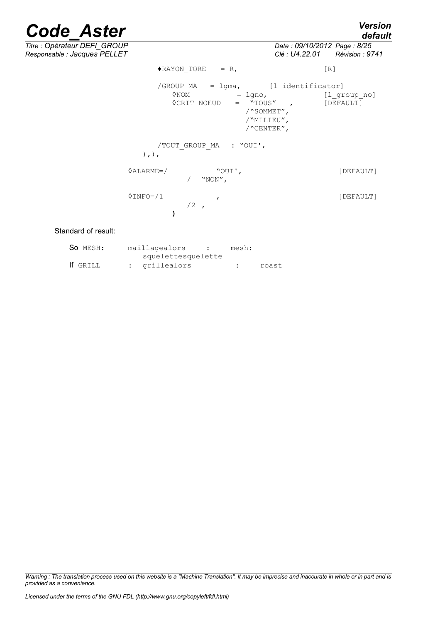*Titre : Opérateur DEFI\_GROUP Date : 09/10/2012 Page : 8/25 Responsable : Jacques PELLET Clé : U4.22.01 Révision : 9741*

*default*

 $\triangle$ RAYON TORE = R, [R] /GROUP\_MA = lgma, [l\_identificator]<br>  $0$ NOM = lgno, [l gr  $\begin{array}{rcl}\n\lozenge\n\text{NOM} & = \text{lgno}, \\
\lozenge\n\text{CRIT NOEUD} & = \text{``TOUS''} \\
\end{array}, \qquad \qquad [\text{DEFAULT}]\n$  $\Diamond$ CRIT NOEUD = "TOUS" , [DEFAULT] /"SOMMET", /"MILIEU", /"CENTER", /TOUT\_GROUP\_MA : "OUI', ),), ◊ALARME=/ "OUI', [DEFAULT]  $/$  "NON",  $\sqrt{N}$ INFO=/1 ,  $/2$ , **)**

Standard of result:

| So MESH: | maillagealors      | mesh: |       |
|----------|--------------------|-------|-------|
|          | squelettesquelette |       |       |
| If GRILL | : grillealors      |       | roast |

*Warning : The translation process used on this website is a "Machine Translation". It may be imprecise and inaccurate in whole or in part and is provided as a convenience.*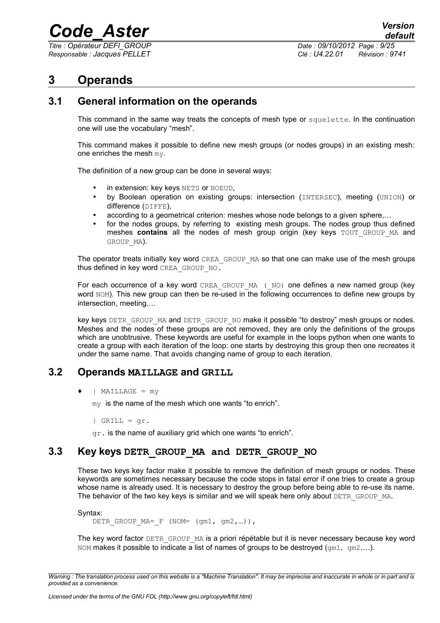*Titre : Opérateur DEFI\_GROUP Date : 09/10/2012 Page : 9/25*

*Responsable : Jacques PELLET Clé : U4.22.01 Révision : 9741*

### **3 Operands**

### **3.1 General information on the operands**

This command in the same way treats the concepts of mesh type or squelette. In the continuation one will use the vocabulary "mesh".

This command makes it possible to define new mesh groups (or nodes groups) in an existing mesh: one enriches the mesh my.

The definition of a new group can be done in several ways:

- in extension: key keys NETS or NOEUD,
- by Boolean operation on existing groups: intersection (INTERSEC), meeting (UNION) or difference (DIFFE),
- according to a geometrical criterion: meshes whose node belongs to a given sphere,…
- for the nodes groups, by referring to existing mesh groups. The nodes group thus defined **meshes contains** all the nodes of mesh group origin (key keys TOUT GROUP MA and GROUP\_MA).

The operator treats initially key word CREA\_GROUP\_MA so that one can make use of the mesh groups thus defined in key word CREA\_GROUP\_NO.

For each occurrence of a key word CREA\_GROUP\_MA (\_NO) one defines a new named group (key word NOM). This new group can then be re-used in the following occurrences to define new groups by intersection, meeting,…

key keys DETR\_GROUP\_MA and DETR\_GROUP\_NO make it possible "to destroy" mesh groups or nodes. Meshes and the nodes of these groups are not removed, they are only the definitions of the groups which are unobtrusive. These keywords are useful for example in the loops python when one wants to create a group with each iteration of the loop: one starts by destroying this group then one recreates it under the same name. That avoids changing name of group to each iteration.

#### **3.2 Operands MAILLAGE and GRILL**

<span id="page-8-0"></span> $|$  MAILLAGE =  $my$ 

my is the name of the mesh which one wants "to enrich".

 $|$  GRILL = qr.

gr. is the name of auxiliary grid which one wants "to enrich".

#### **3.3 Key keys DETR\_GROUP\_MA and DETR\_GROUP\_NO**

These two keys key factor make it possible to remove the definition of mesh groups or nodes. These keywords are sometimes necessary because the code stops in fatal error if one tries to create a group whose name is already used. It is necessary to destroy the group before being able to re-use its name. The behavior of the two key keys is similar and we will speak here only about DETR GROUP MA.

Syntax:

DETR GROUP  $MA=$  F (NOM= (gm1, gm2, ...)),

The key word factor DETR GROUP MA is a priori répétable but it is never necessary because key word NOM makes it possible to indicate a list of names of groups to be destroved  $(\text{cm1}, \text{cm2}...)$ .

*Warning : The translation process used on this website is a "Machine Translation". It may be imprecise and inaccurate in whole or in part and is provided as a convenience.*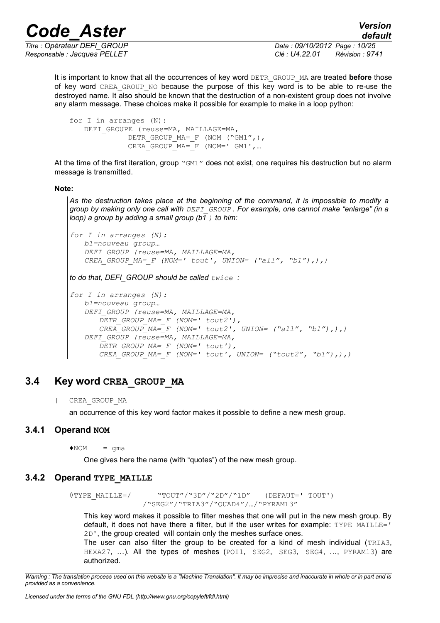*Titre : Opérateur DEFI\_GROUP Date : 09/10/2012 Page : 10/25 Responsable : Jacques PELLET Clé : U4.22.01 Révision : 9741*

*default*

It is important to know that all the occurrences of key word DETR\_GROUP\_MA are treated **before** those of key word CREA\_GROUP\_NO because the purpose of this key word is to be able to re-use the destroyed name. It also should be known that the destruction of a non-existent group does not involve any alarm message. These choices make it possible for example to make in a loop python:

```
for I in arranges (N):
   DEFI GROUPE (reuse=MA, MAILLAGE=MA,
             DETR GROUP MA= F (NOM ("GM1",),
             CREA GROUP MA= F (NOM=' GM1',...
```
At the time of the first iteration, group "GM1" does not exist, one requires his destruction but no alarm message is transmitted.

#### **Note:**

*As the destruction takes place at the beginning of the command, it is impossible to modify a group by making only one call with DEFI\_GROUP . For example, one cannot make "enlarge" (in a loop) a group by adding a small group (b1 ) to him:*

```
for I in arranges (N):
   b1=nouveau group…
   DEFI_GROUP (reuse=MA, MAILLAGE=MA, 
   CREA_GROUP_MA=_F (NOM=' tout', UNION= ("all", "b1"),),)
```
*to do that, DEFI\_GROUP should be called twice :*

```
for I in arranges (N):
   b1=nouveau group…
   DEFI_GROUP (reuse=MA, MAILLAGE=MA, 
      DETR_GROUP_MA=_F (NOM=' tout2'), 
      CREA_GROUP_MA=_F (NOM=' tout2', UNION= ("all", "b1"),),)
   DEFI_GROUP (reuse=MA, MAILLAGE=MA, 
      DETR_GROUP_MA=_F (NOM=' tout'), 
      CREA_GROUP_MA=_F (NOM=' tout', UNION= ("tout2", "b1"),),)
```
#### **3.4 Key word CREA\_GROUP\_MA**

| CREA\_GROUP\_MA

an occurrence of this key word factor makes it possible to define a new mesh group.

#### **3.4.1 Operand NOM**

 $*NOM = qma$ 

One gives here the name (with "quotes") of the new mesh group.

#### **3.4.2 Operand TYPE\_MAILLE**

```
◊TYPE_MAILLE=/ "TOUT"/"3D"/"2D"/"1D" (DEFAUT=' TOUT')
               /"SEG2"/"TRIA3"/"QUAD4"/…/"PYRAM13"
```
This key word makes it possible to filter meshes that one will put in the new mesh group. By default, it does not have there a filter, but if the user writes for example: TYPE\_MAILLE=' 2D', the group created will contain only the meshes surface ones.

The user can also filter the group to be created for a kind of mesh individual (TRIA3, HEXA27, ...). All the types of meshes (POI1, SEG2, SEG3, SEG4, ..., PYRAM13) are authorized.

*Warning : The translation process used on this website is a "Machine Translation". It may be imprecise and inaccurate in whole or in part and is provided as a convenience.*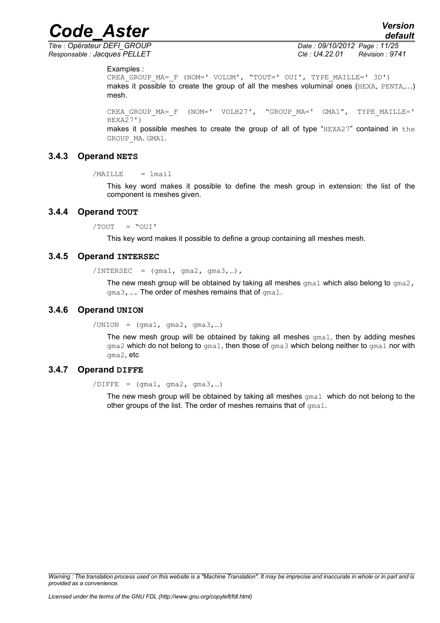*Code\_Aster Version default*

### *Titre : Opérateur DEFI\_GROUP Date : 09/10/2012 Page : 11/25*

*Responsable : Jacques PELLET Clé : U4.22.01 Révision : 9741*

Examples :

CREA GROUP MA= F (NOM=' VOLUM', "TOUT=' OUI', TYPE MAILLE=' 3D') makes it possible to create the group of all the meshes voluminal ones (HEXA, PENTA,…) mesh.

```
CREA GROUP MA= F (NOM=' VOLH27', "GROUP MA=' GMA1", TYPE MAILLE='
HEXA27')
```
makes it possible meshes to create the group of all of type "HEXA27" contained in the GROUP\_MA. GMA1.

#### **3.4.3 Operand NETS**

 $/MAILLE$  =  $lmail$ 

This key word makes it possible to define the mesh group in extension: the list of the component is meshes given.

#### **3.4.4 Operand TOUT**

/TOUT = "OUI'

This key word makes it possible to define a group containing all meshes mesh.

#### **3.4.5 Operand INTERSEC**

 $/INTERSEC = (gma1, gma2, gma3,...),$ 

The new mesh group will be obtained by taking all meshes  $q_{\text{mal}}$  which also belong to  $q_{\text{mad}}$ , gma3,…. The order of meshes remains that of gma1.

#### **3.4.6 Operand UNION**

/UNION =  $(gma1, gma2, gma3,...)$ 

The new mesh group will be obtained by taking all meshes  $\gamma$ ma1, then by adding meshes gma2 which do not belong to gma1, then those of gma3 which belong neither to gma1 nor with gma2, etc

#### **3.4.7 Operand DIFFE**

```
/DIFFE = (gma1, gma2, gma3, ...)
```
The new mesh group will be obtained by taking all meshes  $\text{qma1}$  which do not belong to the other groups of the list. The order of meshes remains that of gma1.

*Warning : The translation process used on this website is a "Machine Translation". It may be imprecise and inaccurate in whole or in part and is provided as a convenience.*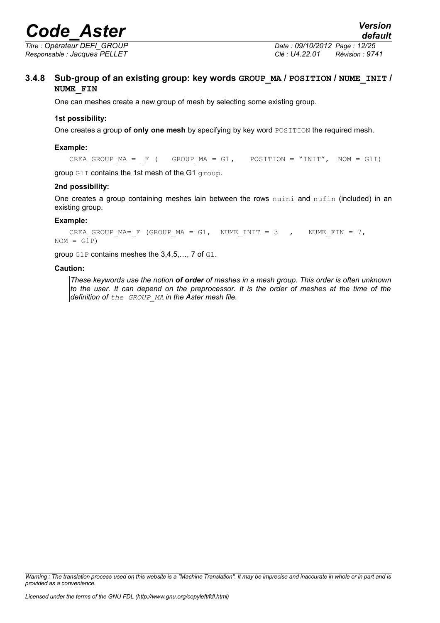*Titre : Opérateur DEFI\_GROUP Date : 09/10/2012 Page : 12/25 Responsable : Jacques PELLET Clé : U4.22.01 Révision : 9741*

*default*

#### **3.4.8 Sub-group of an existing group: key words GROUP\_MA / POSITION / NUME\_INIT / NUME\_FIN**

One can meshes create a new group of mesh by selecting some existing group.

#### **1st possibility:**

One creates a group of only one mesh by specifying by key word POSITION the required mesh.

#### **Example:**

CREA GROUP MA =  $F$  ( GROUP MA = G1, POSITION = "INIT", NOM = G1I)

group G1I contains the 1st mesh of the G1 group.

#### **2nd possibility:**

One creates a group containing meshes lain between the rows nuini and nufin (included) in an existing group.

#### **Example:**

CREA GROUP MA= F (GROUP MA = G1, NUME INIT = 3 , NUME FIN = 7,  $NOM = G1P$ 

group G1P contains meshes the 3,4,5,…, 7 of G1.

#### **Caution:**

*These keywords use the notion of order of meshes in a mesh group. This order is often unknown to the user. It can depend on the preprocessor. It is the order of meshes at the time of the definition of the GROUP\_MA in the Aster mesh file.*

*Warning : The translation process used on this website is a "Machine Translation". It may be imprecise and inaccurate in whole or in part and is provided as a convenience.*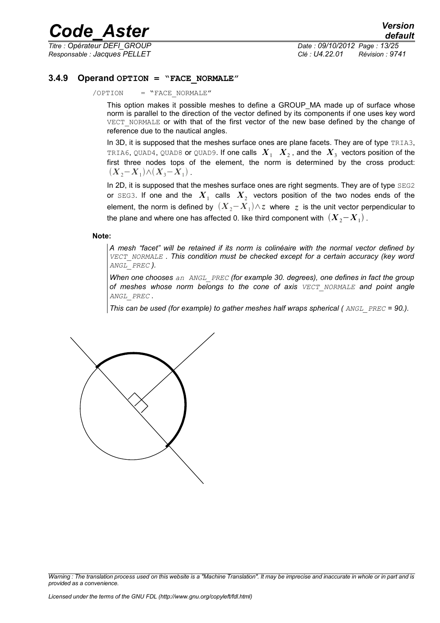*Titre : Opérateur DEFI\_GROUP Date : 09/10/2012 Page : 13/25*

*Responsable : Jacques PELLET Clé : U4.22.01 Révision : 9741*

#### **3.4.9 Operand OPTION = "FACE\_NORMALE"**

/OPTION = "FACE\_NORMALE"

This option makes it possible meshes to define a GROUP\_MA made up of surface whose norm is parallel to the direction of the vector defined by its components if one uses key word VECT NORMALE or with that of the first vector of the new base defined by the change of reference due to the nautical angles.

In 3D, it is supposed that the meshes surface ones are plane facets. They are of type  $TRIA3$ , <code>TRIA6,</code> <code>QUAD4,</code> <code>QUAD8</code> or <code>QUAD9.</code> If one calls  $\;X_1\;\;X_2$  , and the  $\;X_3\;$  vectors position of the first three nodes tops of the element, the norm is determined by the cross product:  $(X_2 - X_1) \wedge (X_3 - X_1)$ .

In 2D, it is supposed that the meshes surface ones are right segments. They are of type SEG2 or  $\tt{SEG3.}$  If one and the  $\boldsymbol{X}_{1}$  calls  $\boldsymbol{X}_{2}$  vectors position of the two nodes ends of the element, the norm is defined by  $\, (X_{\,2}\! -\! X_{\,1}) \wedge z \,$  where  $\,z\,$  is the unit vector perpendicular to the plane and where one has affected 0. like third component with  $\,\left(\boldsymbol{X}_2\!-\!\boldsymbol{X}_1\right)$  .

#### **Note:**

*A mesh "facet" will be retained if its norm is colinéaire with the normal vector defined by VECT\_NORMALE . This condition must be checked except for a certain accuracy (key word ANGL\_PREC ).*

*When one chooses an ANGL\_PREC (for example 30. degrees), one defines in fact the group of meshes whose norm belongs to the cone of axis VECT\_NORMALE and point angle ANGL\_PREC .*

*This can be used (for example) to gather meshes half wraps spherical ( ANGL\_PREC = 90.).*



*Warning : The translation process used on this website is a "Machine Translation". It may be imprecise and inaccurate in whole or in part and is provided as a convenience.*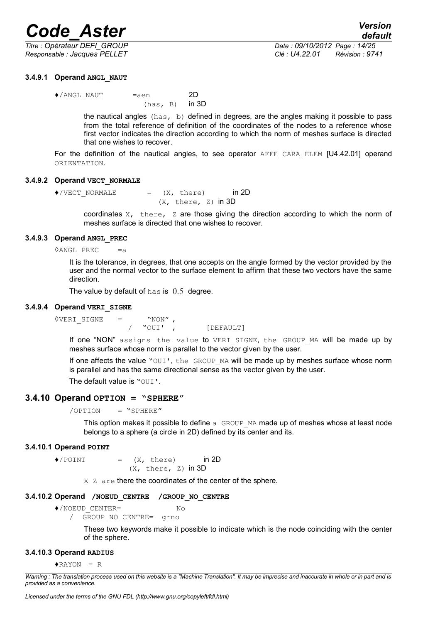*Titre : Opérateur DEFI\_GROUP Date : 09/10/2012 Page : 14/25 Responsable : Jacques PELLET Clé : U4.22.01 Révision : 9741*

#### **3.4.9.1 Operand ANGL\_NAUT**

 $\triangle$ /ANGL NAUT =aen 2D  $(has, B)$  in 3D

> the nautical angles (has, b) defined in degrees, are the angles making it possible to pass from the total reference of definition of the coordinates of the nodes to a reference whose first vector indicates the direction according to which the norm of meshes surface is directed that one wishes to recover.

For the definition of the nautical angles, to see operator AFFE CARA ELEM [U4.42.01] operand ORIENTATION.

#### **3.4.9.2 Operand VECT\_NORMALE**

$$
\blacklozenge / \text{VECT NORMALE}
$$

 $=$   $(X, \text{ there})$  in 2D (X, there, Z) in 3D

coordinates  $X$ , there,  $Z$  are those giving the direction according to which the norm of meshes surface is directed that one wishes to recover.

#### **3.4.9.3 Operand ANGL\_PREC**

 $\Diamond$ ANGL PREC = a

It is the tolerance, in degrees, that one accepts on the angle formed by the vector provided by the user and the normal vector to the surface element to affirm that these two vectors have the same direction.

The value by default of  $has$  is  $0.5$  degree.

#### **3.4.9.4 Operand VERI\_SIGNE**

 $\Diamond$ VERI SIGNE = "NON", / "OUI' , [DEFAULT]

If one "NON" assigns the value to VERI SIGNE, the GROUP MA will be made up by meshes surface whose norm is parallel to the vector given by the user.

If one affects the value "OUI', the GROUP MA will be made up by meshes surface whose norm is parallel and has the same directional sense as the vector given by the user.

The default value is "OUI".

#### **3.4.10 Operand OPTION = "SPHERE"**

/OPTION = "SPHERE"

This option makes it possible to define  $a \text{ GROUP}$  MA made up of meshes whose at least node belongs to a sphere (a circle in 2D) defined by its center and its.

#### **3.4.10.1 Operand POINT**

 $\triangle$ /POINT =  $(X, \text{ there})$  in 2D (X, there, Z) in 3D

X Z are there the coordinates of the center of the sphere.

#### **3.4.10.2 Operand /NOEUD\_CENTRE /GROUP\_NO\_CENTRE**

- ♦/NOEUD\_CENTER= No
	- / GROUP\_NO\_CENTRE= grno

These two keywords make it possible to indicate which is the node coinciding with the center of the sphere.

#### **3.4.10.3 Operand RADIUS**

 $\triangle$ RAYON = R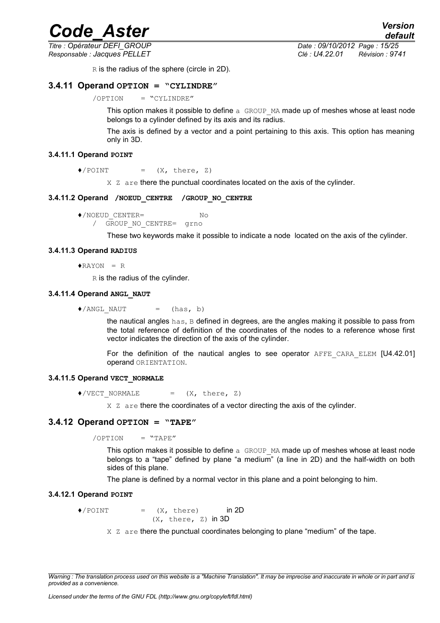*Titre : Opérateur DEFI\_GROUP Date : 09/10/2012 Page : 15/25*

*Responsable : Jacques PELLET Clé : U4.22.01 Révision : 9741*

R is the radius of the sphere (circle in 2D).

#### **3.4.11 Operand OPTION = "CYLINDRE"**

/OPTION = "CYLINDRE"

This option makes it possible to define a GROUP MA made up of meshes whose at least node belongs to a cylinder defined by its axis and its radius.

The axis is defined by a vector and a point pertaining to this axis. This option has meaning only in 3D.

#### **3.4.11.1 Operand POINT**

 $\bullet$ /POINT =  $(X, \text{ there}, Z)$ 

X Z are there the punctual coordinates located on the axis of the cylinder.

#### **3.4.11.2 Operand /NOEUD\_CENTRE /GROUP\_NO\_CENTRE**

- ♦/NOEUD\_CENTER= No
	- / GROUP\_NO\_CENTRE= grno

These two keywords make it possible to indicate a node located on the axis of the cylinder.

#### **3.4.11.3 Operand RADIUS**

 $\triangle$ RAYON = R

 $R$  is the radius of the cylinder.

#### **3.4.11.4 Operand ANGL\_NAUT**

 $\triangle$ /ANGL NAUT = (has, b)

the nautical angles has, B defined in degrees, are the angles making it possible to pass from the total reference of definition of the coordinates of the nodes to a reference whose first vector indicates the direction of the axis of the cylinder.

For the definition of the nautical angles to see operator AFFE CARA ELEM [U4.42.01] operand ORIENTATION.

#### **3.4.11.5 Operand VECT\_NORMALE**

 $\triangle$ /VECT\_NORMALE =  $(X, \text{ there, } Z)$ 

X Z are there the coordinates of a vector directing the axis of the cylinder.

#### **3.4.12 Operand OPTION = "TAPE"**

 $/OPTION = "TAPER"$ 

This option makes it possible to define a  $GROUP$  MA made up of meshes whose at least node belongs to a "tape" defined by plane "a medium" (a line in 2D) and the half-width on both sides of this plane.

The plane is defined by a normal vector in this plane and a point belonging to him.

#### **3.4.12.1 Operand POINT**

 $\bullet$ /POINT =  $(X, \text{ there})$  in 2D (X, there, Z) in 3D

X Z are there the punctual coordinates belonging to plane "medium" of the tape.

*Warning : The translation process used on this website is a "Machine Translation". It may be imprecise and inaccurate in whole or in part and is provided as a convenience.*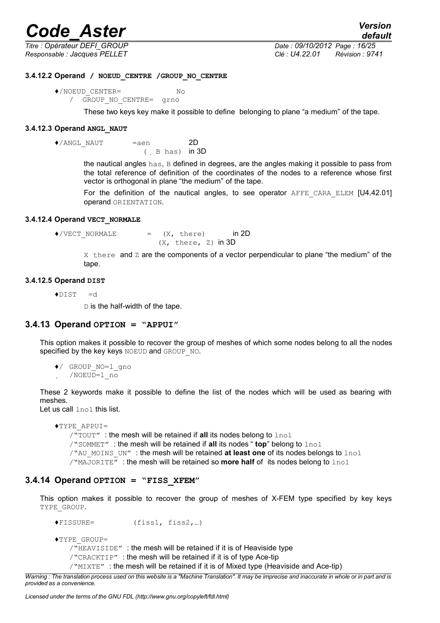*default Titre : Opérateur DEFI\_GROUP Date : 09/10/2012 Page : 16/25 Responsable : Jacques PELLET Clé : U4.22.01 Révision : 9741*

#### **3.4.12.2 Operand / NOEUD\_CENTRE /GROUP\_NO\_CENTRE**

♦/NOEUD\_CENTER= No / GROUP\_NO\_CENTRE= grno

These two keys key make it possible to define belonging to plane "a medium" of the tape.

#### **3.4.12.3 Operand ANGL\_NAUT**

 $\triangle$ /ANGL NAUT =aen 2D  $($  B has) in 3D

> the nautical angles has, B defined in degrees, are the angles making it possible to pass from the total reference of definition of the coordinates of the nodes to a reference whose first vector is orthogonal in plane "the medium" of the tape.

> For the definition of the nautical angles, to see operator AFFE CARA ELEM [U4.42.01] operand ORIENTATION.

#### **3.4.12.4 Operand VECT\_NORMALE**

 $\sqrt{\text{VECT NORMALE}}$  = (X, there) in 2D

(X, there, Z) in 3D

 $X$  there and  $Z$  are the components of a vector perpendicular to plane "the medium" of the tape.

#### **3.4.12.5 Operand DIST**

 $\triangle$ DIST  $=$ d

 $D$  is the half-width of the tape.

#### **3.4.13 Operand OPTION = "APPUI"**

This option makes it possible to recover the group of meshes of which some nodes belong to all the nodes specified by the key keys NOEUD and GROUP NO.

♦/ GROUP\_NO=l\_gno /NOEUD=l\_no

These 2 keywords make it possible to define the list of the nodes which will be used as bearing with meshes.

Let us call lno1 this list.

♦TYPE\_APPUI=

/"TOUT" : the mesh will be retained if **all** its nodes belong to lno1

/"SOMMET" : the mesh will be retained if **all** its nodes " **top**" belong to lno1

/"AU\_MOINS\_UN" : the mesh will be retained at least one of its nodes belongs to lno1

/"MAJORITE" : the mesh will be retained so **more half** of its nodes belong to lno1

#### **3.4.14 Operand OPTION = "FISS\_XFEM"**

This option makes it possible to recover the group of meshes of X-FEM type specified by key keys TYPE\_GROUP.

♦FISSURE= (fiss1, fiss2,…)

♦TYPE\_GROUP=

/"HEAVISIDE" : the mesh will be retained if it is of Heaviside type

/"CRACKTIP" : the mesh will be retained if it is of type Ace-tip

/"MIXTE" : the mesh will be retained if it is of Mixed type (Heaviside and Ace-tip)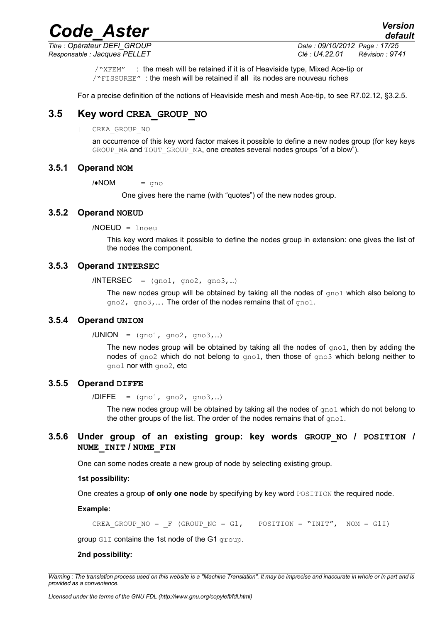*Titre : Opérateur DEFI\_GROUP Date : 09/10/2012 Page : 17/25 Responsable : Jacques PELLET Clé : U4.22.01 Révision : 9741*

*default*

/"XFEM" : the mesh will be retained if it is of Heaviside type, Mixed Ace-tip or /"FISSUREE" : the mesh will be retained if **all** its nodes are nouveau riches

For a precise definition of the notions of Heaviside mesh and mesh Ace-tip, to see R7.02.12, §3.2.5.

#### **3.5 Key word CREA\_GROUP\_NO**

| CREA\_GROUP\_NO

an occurrence of this key word factor makes it possible to define a new nodes group (for key keys GROUP MA and TOUT GROUP MA, one creates several nodes groups "of a blow").

#### **3.5.1 Operand NOM**

 $/ NOM = gno$ 

One gives here the name (with "quotes") of the new nodes group.

#### **3.5.2 Operand NOEUD**

/NOEUD = lnoeu

This key word makes it possible to define the nodes group in extension: one gives the list of the nodes the component.

#### **3.5.3 Operand INTERSEC**

 $\textsf{INTERSEC} = (\textsf{qno1, qno2, qno3, ...})$ 

The new nodes group will be obtained by taking all the nodes of  $q_{\text{no}}1$  which also belong to gno2, gno3, .... The order of the nodes remains that of gno1.

#### **3.5.4 Operand UNION**

/UNION =  $(gno1, gno2, gno3,...)$ 

The new nodes group will be obtained by taking all the nodes of  $qno1$ , then by adding the nodes of gno2 which do not belong to gno1, then those of gno3 which belong neither to gno1 nor with gno2, etc

#### **3.5.5 Operand DIFFE**

 $/DIFFE = (gno1, gno2, gno3, ...)$ 

The new nodes group will be obtained by taking all the nodes of  $q_{\text{mol}}$  which do not belong to the other groups of the list. The order of the nodes remains that of  $qno1$ .

#### **3.5.6 Under group of an existing group: key words GROUP\_NO / POSITION / NUME\_INIT / NUME\_FIN**

One can some nodes create a new group of node by selecting existing group.

#### **1st possibility:**

One creates a group of only one node by specifying by key word **POSITION** the required node.

#### **Example:**

CREA GROUP NO =  $F$  (GROUP NO = G1, POSITION = "INIT", NOM = G1I)

group G1I contains the 1st node of the G1 group.

#### **2nd possibility:**

*Warning : The translation process used on this website is a "Machine Translation". It may be imprecise and inaccurate in whole or in part and is provided as a convenience.*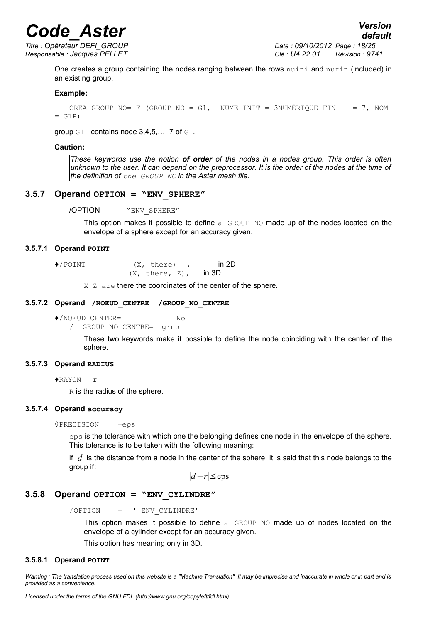*Titre : Opérateur DEFI\_GROUP Date : 09/10/2012 Page : 18/25*

*Responsable : Jacques PELLET Clé : U4.22.01 Révision : 9741*

*default*

One creates a group containing the nodes ranging between the rows nuini and nufin (included) in an existing group.

#### **Example:**

CREA GROUP NO= F (GROUP NO = G1, NUME INIT = 3NUMÉRIQUE FIN = 7, NOM  $= G1P$ 

group G1P contains node 3,4,5,…, 7 of G1.

#### **Caution:**

*These keywords use the notion of order of the nodes in a nodes group. This order is often unknown to the user. It can depend on the preprocessor. It is the order of the nodes at the time of the definition of the GROUP\_NO in the Aster mesh file.*

#### **3.5.7 Operand OPTION = "ENV\_SPHERE"**

/OPTION = "ENV\_SPHERE"

This option makes it possible to define  $a$  GROUP NO made up of the nodes located on the envelope of a sphere except for an accuracy given.

#### **3.5.7.1 Operand POINT**

 $\bullet$ /POINT =  $(X, \text{ there})$ , in 2D  $(X, there, Z),$  in 3D

X Z are there the coordinates of the center of the sphere.

#### **3.5.7.2 Operand /NOEUD\_CENTRE /GROUP\_NO\_CENTRE**

```
♦/NOEUD_CENTER= No
```
/ GROUP\_NO\_CENTRE= grno

These two keywords make it possible to define the node coinciding with the center of the sphere.

#### **3.5.7.3 Operand RADIUS**

 $\triangle$ RAYON = r

R is the radius of the sphere.

#### **3.5.7.4 Operand accuracy**

◊PRECISION =eps

eps is the tolerance with which one the belonging defines one node in the envelope of the sphere. This tolerance is to be taken with the following meaning:

if *d* is the distance from a node in the center of the sphere, it is said that this node belongs to the group if:

∣*d*−*r*∣≤eps

#### **3.5.8 Operand OPTION = "ENV\_CYLINDRE"**

/OPTION = ' ENV\_CYLINDRE'

This option makes it possible to define a  $GROUP$  NO made up of nodes located on the envelope of a cylinder except for an accuracy given.

This option has meaning only in 3D.

#### **3.5.8.1 Operand POINT**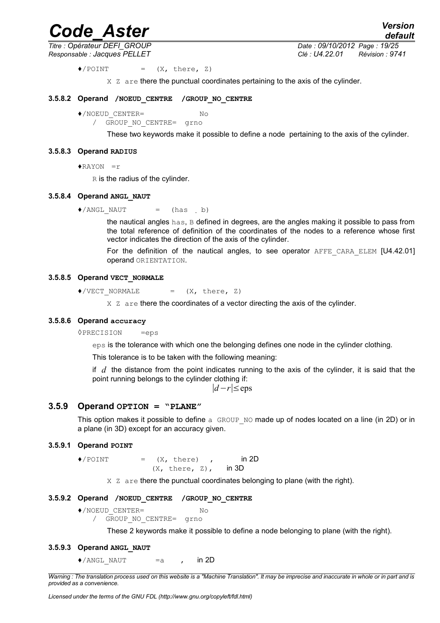*Titre : Opérateur DEFI\_GROUP Date : 09/10/2012 Page : 19/25*

*default*

*Responsable : Jacques PELLET Clé : U4.22.01 Révision : 9741*

 $\blacklozenge$ /POINT =  $(X, \text{ there, } Z)$ 

X Z are there the punctual coordinates pertaining to the axis of the cylinder.

#### **3.5.8.2 Operand /NOEUD\_CENTRE /GROUP\_NO\_CENTRE**

♦/NOEUD\_CENTER= No

/ GROUP\_NO\_CENTRE= grno

These two keywords make it possible to define a node pertaining to the axis of the cylinder.

#### **3.5.8.3 Operand RADIUS**

 $\triangle$ RAYON =r

R is the radius of the cylinder.

#### **3.5.8.4 Operand ANGL\_NAUT**

 $\triangle$ /ANGL\_NAUT = (has b)

the nautical angles  $has$ ,  $B$  defined in degrees, are the angles making it possible to pass from the total reference of definition of the coordinates of the nodes to a reference whose first vector indicates the direction of the axis of the cylinder.

For the definition of the nautical angles, to see operator AFFE CARA ELEM [U4.42.01] operand ORIENTATION.

#### **3.5.8.5 Operand VECT\_NORMALE**

 $\sqrt{\text{VECT NORMALE}}$  = (X, there, Z)

X Z are there the coordinates of a vector directing the axis of the cylinder.

#### **3.5.8.6 Operand accuracy**

◊PRECISION =eps

eps is the tolerance with which one the belonging defines one node in the cylinder clothing.

This tolerance is to be taken with the following meaning:

if *d* the distance from the point indicates running to the axis of the cylinder, it is said that the point running belongs to the cylinder clothing if:

∣*d*−*r*∣≤eps

#### **3.5.9 Operand OPTION = "PLANE"**

This option makes it possible to define a  $GROUP-NO$  made up of nodes located on a line (in 2D) or in a plane (in 3D) except for an accuracy given.

#### **3.5.9.1 Operand POINT**

- $\sqrt[4]{\text{POINT}}$  =  $(X, \text{ there})$ , in 2D<br>(X, there, Z), in 3D  $(X, there, Z),$ 
	- X Z are there the punctual coordinates belonging to plane (with the right).

#### **3.5.9.2 Operand /NOEUD\_CENTRE /GROUP\_NO\_CENTRE**

♦/NOEUD\_CENTER= No / GROUP\_NO\_CENTRE= grno

These 2 keywords make it possible to define a node belonging to plane (with the right).

#### **3.5.9.3 Operand ANGL\_NAUT**

 $\triangle$ /ANGL NAUT = a , in 2D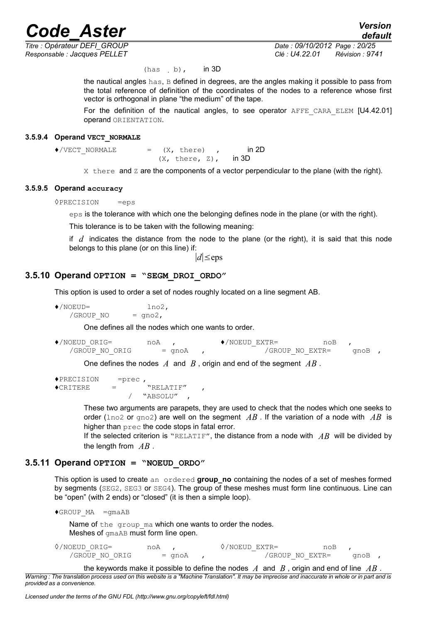*Titre : Opérateur DEFI\_GROUP Date : 09/10/2012 Page : 20/25 Responsable : Jacques PELLET Clé : U4.22.01 Révision : 9741*

*default*

#### $(has \t b), \t in 3D$

the nautical angles has, B defined in degrees, are the angles making it possible to pass from the total reference of definition of the coordinates of the nodes to a reference whose first vector is orthogonal in plane "the medium" of the tape.

For the definition of the nautical angles, to see operator AFFE CARA ELEM [U4.42.01] operand ORIENTATION.

#### **3.5.9.4 Operand VECT\_NORMALE**

 $\sqrt{\text{VECT NORMALE}}$  = (X, there), in 2D  $(X, there, Z)$ , in 3D

X there and Z are the components of a vector perpendicular to the plane (with the right).

#### **3.5.9.5 Operand accuracy**

◊PRECISION =eps

eps is the tolerance with which one the belonging defines node in the plane (or with the right).

This tolerance is to be taken with the following meaning:

if *d* indicates the distance from the node to the plane (or the right), it is said that this node belongs to this plane (or on this line) if:

∣*d*∣≤eps

#### **3.5.10 Operand OPTION = "SEGM\_DROI\_ORDO"**

This option is used to order a set of nodes roughly located on a line segment AB.

♦/NOEUD= lno2,

/GROUP NO =  $qno2$ ,

One defines all the nodes which one wants to order.

| $\blacklozenge$ /NOEUD ORIG= | noA    | $\blacklozenge$ /NOEUD EXTR= | noB |      |  |
|------------------------------|--------|------------------------------|-----|------|--|
| /GROUP NO ORIG               | = anoA | /GROUP NO EXTR=              |     | qnoB |  |

One defines the nodes *A* and *B* , origin and end of the segment *AB* .

♦PRECISION =prec ,  $\begin{array}{ccc} \bullet & \text{C}\text{RITERE} & = & \text{``RELATIF''} \end{array}$ " ABSOLU"

> These two arguments are parapets, they are used to check that the nodes which one seeks to order (lno2 or gno2) are well on the segment *AB* . If the variation of a node with *AB* is higher than prec the code stops in fatal error.

> If the selected criterion is "RELATIF", the distance from a node with  $\overline{AB}$  will be divided by the length from *AB* .

#### **3.5.11 Operand OPTION = "NOEUD\_ORDO"**

This option is used to create an ordered **group\_no** containing the nodes of a set of meshes formed by segments (SEG2, SEG3 or SEG4). The group of these meshes must form line continuous. Line can be "open" (with 2 ends) or "closed" (it is then a simple loop).

```
♦GROUP_MA =gmaAB
```
Name of the group ma which one wants to order the nodes. Meshes of gmaAB must form line open.

| $\Diamond$ /NOEUD ORIG= | noA    | $\Diamond$ /NOEUD EXTR= | noB             |      |  |
|-------------------------|--------|-------------------------|-----------------|------|--|
| /GROUP NO ORIG          | = anoA |                         | /GROUP NO EXTR= | qnoB |  |

the keywords make it possible to define the nodes *A* and *B* , origin and end of line *AB* . *Warning : The translation process used on this website is a "Machine Translation". It may be imprecise and inaccurate in whole or in part and is provided as a convenience.*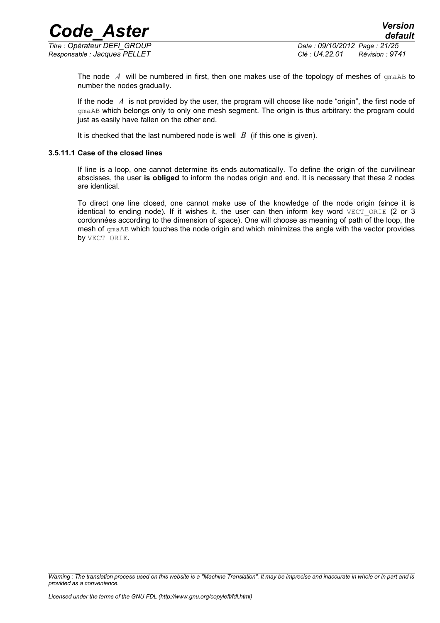

*Titre : Opérateur DEFI\_GROUP Date : 09/10/2012 Page : 21/25 Responsable : Jacques PELLET Clé : U4.22.01 Révision : 9741*

The node  $A$  will be numbered in first, then one makes use of the topology of meshes of  $\gamma$ maAB to number the nodes gradually.

If the node *A* is not provided by the user, the program will choose like node "origin", the first node of gmaAB which belongs only to only one mesh segment. The origin is thus arbitrary: the program could just as easily have fallen on the other end.

It is checked that the last numbered node is well  $\,B\,$  (if this one is given).

#### **3.5.11.1 Case of the closed lines**

If line is a loop, one cannot determine its ends automatically. To define the origin of the curvilinear abscisses, the user **is obliged** to inform the nodes origin and end. It is necessary that these 2 nodes are identical.

To direct one line closed, one cannot make use of the knowledge of the node origin (since it is identical to ending node). If it wishes it, the user can then inform key word  $VECT$  ORIE (2 or 3 cordonnées according to the dimension of space). One will choose as meaning of path of the loop, the mesh of gmaAB which touches the node origin and which minimizes the angle with the vector provides by VECT ORIE.

*Warning : The translation process used on this website is a "Machine Translation". It may be imprecise and inaccurate in whole or in part and is provided as a convenience.*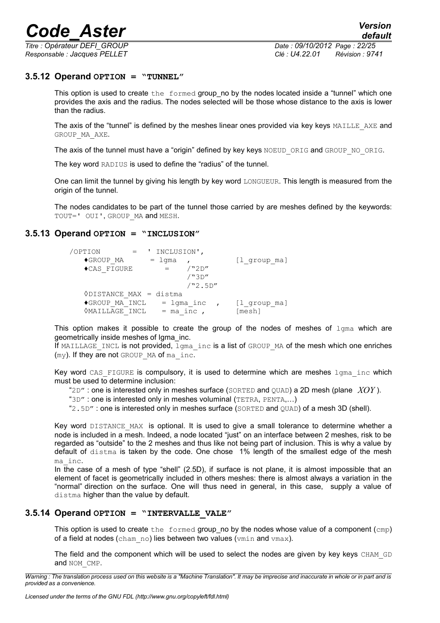

*Responsable : Jacques PELLET Clé : U4.22.01 Révision : 9741*

#### **3.5.12 Operand OPTION = "TUNNEL"**

This option is used to create the formed group no by the nodes located inside a "tunnel" which one provides the axis and the radius. The nodes selected will be those whose distance to the axis is lower than the radius.

The axis of the "tunnel" is defined by the meshes linear ones provided via key keys MAILLE\_AXE and GROUP\_MA\_AXE.

The axis of the tunnel must have a "origin" defined by key keys NOEUD ORIG and GROUP NO ORIG.

The key word RADIUS is used to define the "radius" of the tunnel.

One can limit the tunnel by giving his length by key word LONGUEUR. This length is measured from the origin of the tunnel.

The nodes candidates to be part of the tunnel those carried by are meshes defined by the keywords: TOUT=' OUI', GROUP MA and MESH.

#### **3.5.13 Operand OPTION = "INCLUSION"**

| /OPTION                          | ' INCLUSION', |              |              |
|----------------------------------|---------------|--------------|--------------|
| ◆GROUP MA                        | $=$ lqma      |              | [l group ma] |
| ◆CAS FIGURE                      | $=$           | $/$ "2D"     |              |
|                                  |               | $/$ "3D"     |              |
|                                  |               | $/$ "2.5D"   |              |
| $\Diamond$ DISTANCE MAX = distma |               |              |              |
| ◆GROUP MA INCL                   |               | $=$ lqma inc | [l group ma] |
| <b>OMAILLAGE INCL</b>            | $= ma$        | inc ,        | [mesh]       |

This option makes it possible to create the group of the nodes of meshes of  $1\sigma$ ma which are geometrically inside meshes of lgma\_inc.

If MAILLAGE INCL is not provided, lgma inc is a list of GROUP MA of the mesh which one enriches  $(my)$ . If they are not GROUP MA of ma $inc$ .

Key word CAS\_FIGURE is compulsory, it is used to determine which are meshes lgma\_inc which must be used to determine inclusion:

"2D" : one is interested only in meshes surface (SORTED and QUAD) a 2D mesh (plane *XOY* ).

"3D" : one is interested only in meshes voluminal (TETRA, PENTA,…)

"2.5D" : one is interested only in meshes surface (SORTED and QUAD) of a mesh 3D (shell).

Key word DISTANCE MAX is optional. It is used to give a small tolerance to determine whether a node is included in a mesh. Indeed, a node located "just" on an interface between 2 meshes, risk to be regarded as "outside" to the 2 meshes and thus like not being part of inclusion. This is why a value by default of distma is taken by the code. One chose 1% length of the smallest edge of the mesh ma\_inc.

In the case of a mesh of type "shell" (2.5D), if surface is not plane, it is almost impossible that an element of facet is geometrically included in others meshes: there is almost always a variation in the "normal" direction on the surface. One will thus need in general, in this case, supply a value of distma higher than the value by default.

#### **3.5.14 Operand OPTION = "INTERVALLE\_VALE"**

This option is used to create the formed group no by the nodes whose value of a component (cmp) of a field at nodes (cham no) lies between two values (vmin and vmax).

The field and the component which will be used to select the nodes are given by key keys CHAM GD and NOM CMP.

*Warning : The translation process used on this website is a "Machine Translation". It may be imprecise and inaccurate in whole or in part and is provided as a convenience.*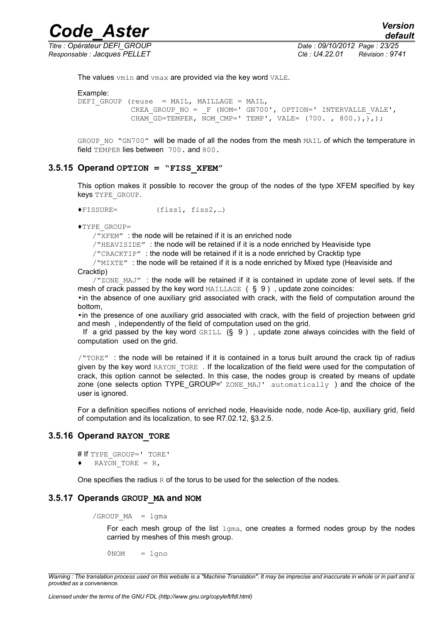*Titre : Opérateur DEFI\_GROUP Date : 09/10/2012 Page : 23/25*

*Responsable : Jacques PELLET Clé : U4.22.01 Révision : 9741*

The values vmin and vmax are provided via the key word VALE.

```
Example:
DEFI GROUP (reuse = MAIL, MAILLAGE = MAIL,
            CREA GROUP NO = _F (NOM=' GN700', OPTION=' INTERVALLE VALE',
            CHAM GD=TEMPER, NOM CMP=' TEMP', VALE= (700. , 800.),),);
```
GROUP NO "GN700" will be made of all the nodes from the mesh MAIL of which the temperature in field TEMPER lies between 700. and 800.

#### **3.5.15 Operand OPTION = "FISS\_XFEM"**

This option makes it possible to recover the group of the nodes of the type XFEM specified by key keys TYPE\_GROUP.

♦FISSURE= (fiss1, fiss2,…)

♦TYPE\_GROUP=

/"XFEM" : the node will be retained if it is an enriched node

/"HEAVISIDE" : the node will be retained if it is a node enriched by Heaviside type

/"CRACKTIP" : the node will be retained if it is a node enriched by Cracktip type

/"MIXTE" : the node will be retained if it is a node enriched by Mixed type (Heaviside and Cracktip)

/"ZONE\_MAJ" : the node will be retained if it is contained in update zone of level sets. If the mesh of crack passed by the key word MAILLAGE  $( \S 9)$ , update zone coincides:

•in the absence of one auxiliary grid associated with crack, with the field of computation around the bottom,

•in the presence of one auxiliary grid associated with crack, with the field of projection between grid and mesh , independently of the field of computation used on the grid.

If a grid passed by the key word  $GRILL$  (§ [9](#page-8-0)), update zone always coincides with the field of computation used on the grid.

/"TORE" : the node will be retained if it is contained in a torus built around the crack tip of radius given by the key word RAYON TORE . If the localization of the field were used for the computation of crack, this option cannot be selected. In this case, the nodes group is created by means of update zone (one selects option TYPE\_GROUP=' $ZONE$   $MAJ'$  automatically ) and the choice of the user is ignored.

For a definition specifies notions of enriched node, Heaviside node, node Ace-tip, auxiliary grid, field of computation and its localization, to see R7.02.12, §3.2.5.

#### **3.5.16 Operand RAYON\_TORE**

# If TYPE GROUP=' TORE'

RAYON TORE =  $R$ ,

One specifies the radius  $R$  of the torus to be used for the selection of the nodes.

#### **3.5.17 Operands GROUP\_MA and NOM**

 $/$ GROUP MA = lgma

For each mesh group of the list  $1$ gma, one creates a formed nodes group by the nodes carried by meshes of this mesh group.

 $\Diamond$ NOM = lgno

*Warning : The translation process used on this website is a "Machine Translation". It may be imprecise and inaccurate in whole or in part and is provided as a convenience.*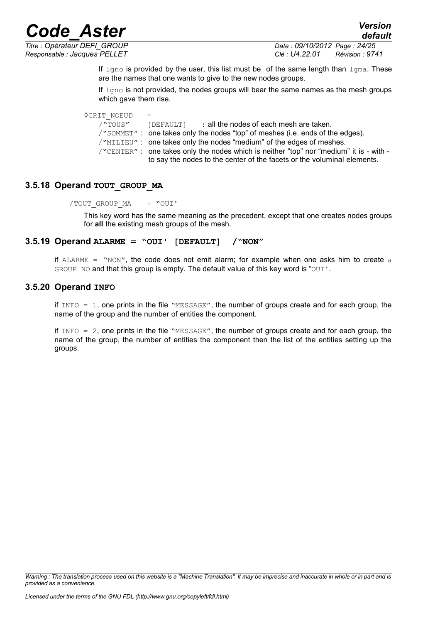*default Titre : Opérateur DEFI\_GROUP Date : 09/10/2012 Page : 24/25 Responsable : Jacques PELLET Clé : U4.22.01 Révision : 9741*

> If  $1$ gno is provided by the user, this list must be of the same length than  $1$ gma. These are the names that one wants to give to the new nodes groups.

> If  $l$ gno is not provided, the nodes groups will bear the same names as the mesh groups which gave them rise.

| OCRIT NOEUD | $\mathbf{r} = \mathbf{r}$                                                               |
|-------------|-----------------------------------------------------------------------------------------|
| /"TOUS"     | [DEFAULT] : all the nodes of each mesh are taken.                                       |
|             | /"SOMMET": one takes only the nodes "top" of meshes (i.e. ends of the edges).           |
|             | /"MILIEU": one takes only the nodes "medium" of the edges of meshes.                    |
|             | / "CENTER": one takes only the nodes which is neither "top" nor "medium" it is - with - |
|             | to say the nodes to the center of the facets or the voluminal elements.                 |

#### **3.5.18 Operand TOUT\_GROUP\_MA**

/TOUT\_GROUP\_MA = "OUI'

This key word has the same meaning as the precedent, except that one creates nodes groups for **all** the existing mesh groups of the mesh.

#### **3.5.19 Operand ALARME = "OUI' [DEFAULT] /"NON"**

if  $ALARME = "NON",$  the code does not emit alarm; for example when one asks him to create a GROUP NO and that this group is empty. The default value of this key word is "OUI'.

#### **3.5.20 Operand INFO**

if  $INFO = 1$ , one prints in the file "MESSAGE", the number of groups create and for each group, the name of the group and the number of entities the component.

if  $INFO = 2$ , one prints in the file "MESSAGE", the number of groups create and for each group, the name of the group, the number of entities the component then the list of the entities setting up the groups.

*Warning : The translation process used on this website is a "Machine Translation". It may be imprecise and inaccurate in whole or in part and is provided as a convenience.*